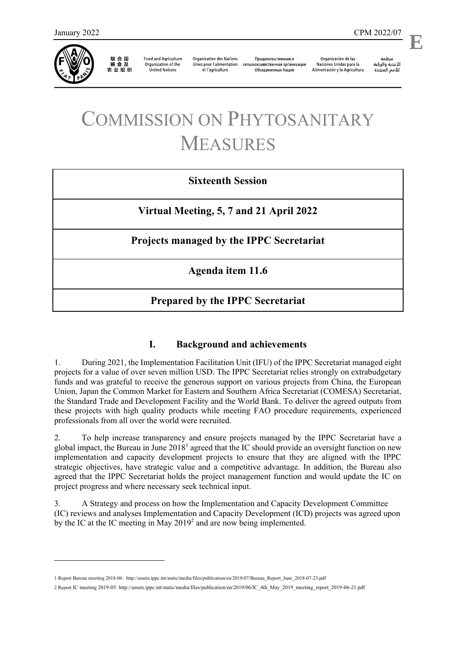

联 合 国<br>粮 食 及 农业组织

**Food and Agriculture** Organization of the **United Nations** 

**Organisation des Nations** Unies pour l'alimentation et l'agriculture

Продовольственная и сельскохозяйственная организация Объелиненных Наций

Organización de las Naciones Unidas para la Alimentación y la Agricultura

منظمة الأغذية والزراعة للأمم المتحدة

# COMMISSION ON PHYTOSANITARY MEASURES

### **Sixteenth Session**

**Virtual Meeting, 5, 7 and 21 April 2022**

**Projects managed by the IPPC Secretariat** 

**Agenda item 11.6**

## **Prepared by the IPPC Secretariat**

#### **I. Background and achievements**

1. During 2021, the Implementation Facilitation Unit (IFU) of the IPPC Secretariat managed eight projects for a value of over seven million USD. The IPPC Secretariat relies strongly on extrabudgetary funds and was grateful to receive the generous support on various projects from China, the European Union, Japan the Common Market for Eastern and Southern Africa Secretariat (COMESA) Secretariat, the Standard Trade and Development Facility and the World Bank. To deliver the agreed outputs from these projects with high quality products while meeting FAO procedure requirements, experienced professionals from all over the world were recruited.

2. To help increase transparency and ensure projects managed by the IPPC Secretariat have a global impact, the Bureau in June 2018<sup>1</sup> agreed that the IC should provide an oversight function on new implementation and capacity development projects to ensure that they are aligned with the IPPC strategic objectives, have strategic value and a competitive advantage. In addition, the Bureau also agreed that the IPPC Secretariat holds the project management function and would update the IC on project progress and where necessary seek technical input.

3. A Strategy and process on how the Implementation and Capacity Development Committee (IC) reviews and analyses Implementation and Capacity Development (ICD) projects was agreed upon by the IC at the IC meeting in May  $2019^2$  and are now being implemented.

<sup>1</sup> Report Bureau meeting 2018-06: [http://assets.ippc.int/static/media/files/publication/en/2018/07/Bureau\\_Report\\_June\\_2018-07-23.pdf](http://assets.ippc.int/static/media/files/publication/en/2018/07/Bureau_Report_June_2018-07-23.pdf)

<sup>2</sup> Report IC meeting 2019-05[: http://assets.ippc.int/static/media/files/publication/en/2019/06/IC\\_4th\\_May\\_2019\\_meeting\\_report\\_2019-06-21.pdf](http://assets.ippc.int/static/media/files/publication/en/2019/06/IC_4th_May_2019_meeting_report_2019-06-21.pdf)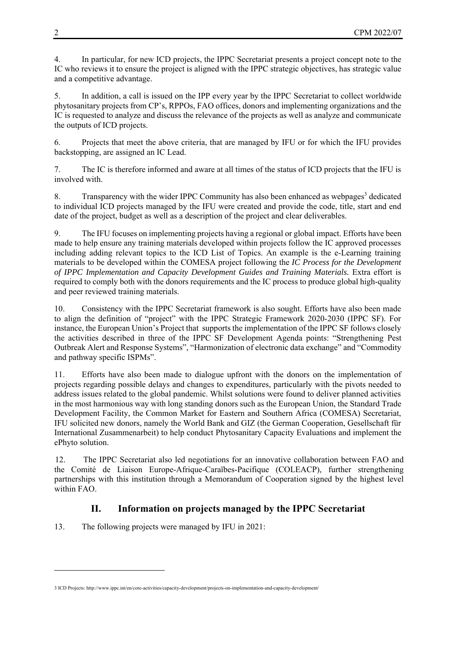4. In particular, for new ICD projects, the IPPC Secretariat presents a project concept note to the IC who reviews it to ensure the project is aligned with the IPPC strategic objectives, has strategic value and a competitive advantage.

5. In addition, a call is issued on the IPP every year by the IPPC Secretariat to collect worldwide phytosanitary projects from CP's, RPPOs, FAO offices, donors and implementing organizations and the IC is requested to analyze and discuss the relevance of the projects as well as analyze and communicate the outputs of ICD projects.

6. Projects that meet the above criteria, that are managed by IFU or for which the IFU provides backstopping, are assigned an IC Lead.

7. The IC is therefore informed and aware at all times of the status of ICD projects that the IFU is involved with.

8. Transparency with the wider IPPC Community has also been enhanced as webpages<sup>3</sup> dedicated to individual ICD projects managed by the IFU were created and provide the code, title, start and end date of the project, budget as well as a description of the project and clear deliverables.

9. The IFU focuses on implementing projects having a regional or global impact. Efforts have been made to help ensure any training materials developed within projects follow the IC approved processes including adding relevant topics to the ICD List of Topics. An example is the e-Learning training materials to be developed within the COMESA project following the *[IC Process for the Development](https://www.ippc.int/en/publications/88591/) [of IPPC Implementation and Capacity Development Guides and Training Materials.](https://www.ippc.int/en/publications/88591/)* Extra effort is required to comply both with the donors requirements and the IC process to produce global high-quality and peer reviewed training materials.

10. Consistency with the IPPC Secretariat framework is also sought. Efforts have also been made to align the definition of "project" with the IPPC Strategic Framework 2020-2030 (IPPC SF). For instance, the European Union's Project that supports the implementation of the IPPC SF follows closely the activities described in three of the IPPC SF Development Agenda points: "Strengthening Pest Outbreak Alert and Response Systems", "Harmonization of electronic data exchange" and "Commodity and pathway specific ISPMs".

11. Efforts have also been made to dialogue upfront with the donors on the implementation of projects regarding possible delays and changes to expenditures, particularly with the pivots needed to address issues related to the global pandemic. Whilst solutions were found to deliver planned activities in the most harmonious way with long standing donors such as the European Union, the Standard Trade Development Facility, the Common Market for Eastern and Southern Africa (COMESA) Secretariat, IFU solicited new donors, namely the World Bank and GIZ (the German Cooperation, Gesellschaft für International Zusammenarbeit) to help conduct Phytosanitary Capacity Evaluations and implement the ePhyto solution.

12. The IPPC Secretariat also led negotiations for an innovative collaboration between FAO and the Comité de Liaison Europe-Afrique-Caraïbes-Pacifique (COLEACP), further strengthening partnerships with this institution through a Memorandum of Cooperation signed by the highest level within FAO.

#### **II. Information on projects managed by the IPPC Secretariat**

13. The following projects were managed by IFU in 2021:

<sup>3</sup> ICD Projects: http://www.ippc.int/en/core-activities/capacity-development/projects-on-implementation-and-capacity-development/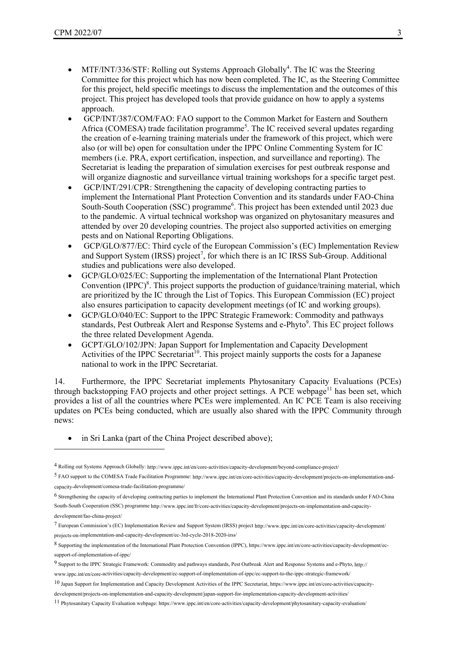- MTF/INT/336/STF: Rolling out Systems Approach Globally<sup>4</sup>. The IC was the Steering Committee for this project which has now been completed. The IC, as the Steering Committee for this project, held specific meetings to discuss the implementation and the outcomes of this project. This project has developed tools that provide guidance on how to apply a systems approach.
- GCP/INT/387/COM/FAO: FAO support to the Common Market for Eastern and Southern Africa (COMESA) trade facilitation programme<sup>5</sup>. The IC received several updates regarding the creation of e-learning training materials under the framework of this project, which were also (or will be) open for consultation under the IPPC Online Commenting System for IC members (i.e. PRA, export certification, inspection, and surveillance and reporting). The Secretariat is leading the preparation of simulation exercises for pest outbreak response and will organize diagnostic and surveillance virtual training workshops for a specific target pest.
- GCP/INT/291/CPR: Strengthening the capacity of developing contracting parties to implement the International Plant Protection Convention and its standards under FAO-China South-South Cooperation (SSC) programme<sup>6</sup>. This project has been extended until 2023 due to the pandemic. A virtual technical workshop was organized on phytosanitary measures and attended by over 20 developing countries. The project also supported activities on emerging pests and on National Reporting Obligations.
- GCP/GLO/877/EC: Third cycle of the European Commission's (EC) Implementation Review and Support System (IRSS) project<sup>7</sup>, for which there is an IC IRSS Sub-Group. Additional studies and publications were also developed.
- GCP/GLO/025/EC: Supporting the implementation of the International Plant Protection Convention (IPPC)<sup>8</sup>. This project supports the production of guidance/training material, which are prioritized by the IC through the List of Topics. This European Commission (EC) project also ensures participation to capacity development meetings (of IC and working groups).
- GCP/GLO/040/EC: Support to the IPPC Strategic Framework: Commodity and pathways standards, Pest Outbreak Alert and Response Systems and e-Phyto<sup>9</sup>. This EC project follows the three related Development Agenda.
- GCPT/GLO/102/JPN: Japan Support for Implementation and Capacity Development Activities of the IPPC Secretariat<sup>10</sup>. This project mainly supports the costs for a Japanese national to work in the IPPC Secretariat.

14. Furthermore, the IPPC Secretariat implements Phytosanitary Capacity Evaluations (PCEs) through backstopping FAO projects and other project settings. A PCE webpage<sup>11</sup> has been set, which provides a list of all the countries where PCEs were implemented. An IC PCE Team is also receiving updates on PCEs being conducted, which are usually also shared with the IPPC Community through news:

• in Sri Lanka (part of the China Project described above);

<sup>4</sup> Rolling out Systems Approach Gl[obally: http://www.ippc.int/en/core-activities/capacity-development/beyond-compliance-pr](http://www.ippc.int/en/core-activities/capacity-development/beyond-compliance-project/)oject/

<sup>5</sup> FAO support to the COMESA Trade Facilitation Pr[ogramme: http://www.ippc.int/en/core-activities/capacity-development/projects-on-implementation-and](http://www.ippc.int/en/core-activities/capacity-development/projects-on-implementation-and-capacity-development/comesa-trade-facilitation-programme/)[capacity-development/comesa-trade-facilitation-prog](http://www.ippc.int/en/core-activities/capacity-development/projects-on-implementation-and-capacity-development/comesa-trade-facilitation-programme/)ramme/

<sup>6</sup> Strengthening the capacity of developing contracting parties to implement the International Plant Protection Convention and its standards under FAO-China South-South C[ooperation \(SSC\) programme http://www.ippc.int/fr/core-activities/capacity-development/projects-on-implementation-and-capacity](http://www.ippc.int/fr/core-activities/capacity-development/projects-on-implementation-and-capacity-development/fao-china-project/)development/fao-china-project/

[<sup>7</sup> European Commission's \(EC\) Implementation Review and Support Sy](http://www.ippc.int/en/core-activities/capacity-development/projects-on-implementation-and-capacity-development/ec-3rd-cycle-2018-2020-irss)stem (IRSS) project http://www.ippc.int/en/core-activities/capacity-development/ projects-on-implementation-and-capacity-development/ec-3rd-cycle-2018-2020-irss/

<sup>8</sup> Supporting the implementation of the International Plant Protection Convention (IPPC), https://www.ippc.int/en/cor[e-activities/capacity-development/ec](http://www.ippc.int/en/core-activities/capacity-development/ec-support-of-implementation-of-ippc/ec-support-to-the-ippc-strategic-framework/)[support-of-implementation-of-ippc/](http://www.ippc.int/en/core-activities/capacity-development/ec-support-of-implementation-of-ippc/ec-support-to-the-ippc-strategic-framework/)

<sup>9</sup> Support to the IPPC Strategic Framework: Commodity and pathways standards, Pest Outbreak A[lert and Response Systems and e-Phyto, http://](https://www.ippc.int/en/core-activities/capacity-development/projects-on-implementation-and-capacity-development/japan-support-for-implementation-capacity-development-activities/) [www.ippc.int/en/core-activities/capacity-development/ec-support-of-implementation-of-ippc/ec-support-to-the-ippc-strategic-framework/](https://www.ippc.int/en/core-activities/capacity-development/projects-on-implementation-and-capacity-development/japan-support-for-implementation-capacity-development-activities/)

<sup>10</sup> Japan Support for Implementation and Ca[pacity Development Activities of the IPPC Secretariat,](https://www.ippc.int/en/core-activities/capacity-development/phytosanitary-capacity-evaluation/) https://www.ippc.int/en/core-activities/capacity-

development/projects-on-implementation-and-capacity-development/japan-support-for-implementation-capacity-development-activities/

<sup>11</sup> Phytosanitary Capacity Evaluation webpage: https://www.ippc.int/en/core-activities/capacity-development/phytosanitary-capacity-evaluation/